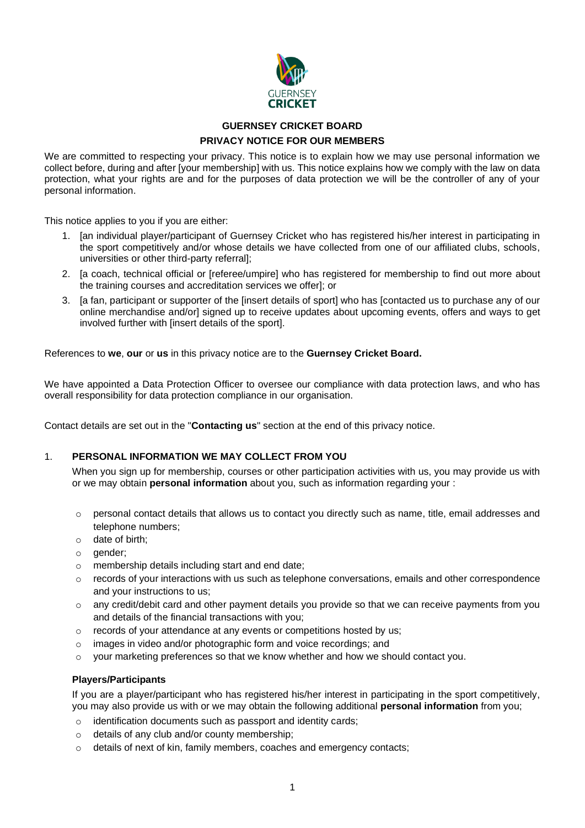

# **GUERNSEY CRICKET BOARD PRIVACY NOTICE FOR OUR MEMBERS**

We are committed to respecting your privacy. This notice is to explain how we may use personal information we collect before, during and after [your membership] with us. This notice explains how we comply with the law on data protection, what your rights are and for the purposes of data protection we will be the controller of any of your personal information.

This notice applies to you if you are either:

- 1. [an individual player/participant of Guernsey Cricket who has registered his/her interest in participating in the sport competitively and/or whose details we have collected from one of our affiliated clubs, schools, universities or other third-party referral];
- 2. [a coach, technical official or [referee/umpire] who has registered for membership to find out more about the training courses and accreditation services we offer]; or
- 3. [a fan, participant or supporter of the [insert details of sport] who has [contacted us to purchase any of our online merchandise and/or] signed up to receive updates about upcoming events, offers and ways to get involved further with [insert details of the sport].

References to **we**, **our** or **us** in this privacy notice are to the **Guernsey Cricket Board.**

We have appointed a Data Protection Officer to oversee our compliance with data protection laws, and who has overall responsibility for data protection compliance in our organisation.

Contact details are set out in the "**Contacting us**" section at the end of this privacy notice.

## 1. **PERSONAL INFORMATION WE MAY COLLECT FROM YOU**

When you sign up for membership, courses or other participation activities with us, you may provide us with or we may obtain **personal information** about you, such as information regarding your :

- $\circ$  personal contact details that allows us to contact you directly such as name, title, email addresses and telephone numbers;
- o date of birth;
- o gender;
- o membership details including start and end date;
- $\circ$  records of your interactions with us such as telephone conversations, emails and other correspondence and your instructions to us;
- $\circ$  any credit/debit card and other payment details you provide so that we can receive payments from you and details of the financial transactions with you;
- o records of your attendance at any events or competitions hosted by us;
- o images in video and/or photographic form and voice recordings; and
- $\circ$  your marketing preferences so that we know whether and how we should contact you.

#### **Players/Participants**

If you are a player/participant who has registered his/her interest in participating in the sport competitively, you may also provide us with or we may obtain the following additional **personal information** from you;

- o identification documents such as passport and identity cards;
- o details of any club and/or county membership;
- o details of next of kin, family members, coaches and emergency contacts;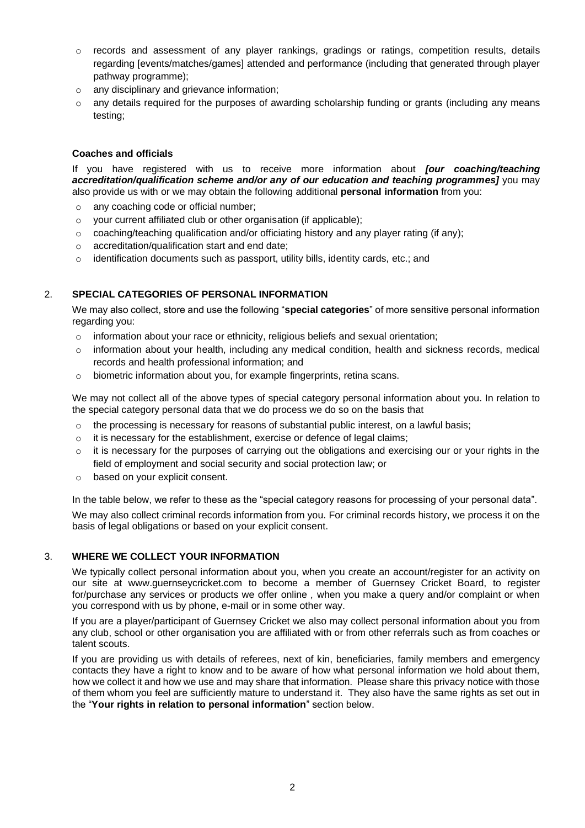- o records and assessment of any player rankings, gradings or ratings, competition results, details regarding [events/matches/games] attended and performance (including that generated through player pathway programme);
- o any disciplinary and grievance information;
- $\circ$  any details required for the purposes of awarding scholarship funding or grants (including any means testing;

#### **Coaches and officials**

If you have registered with us to receive more information about *[our coaching/teaching accreditation/qualification scheme and/or any of our education and teaching programmes]* you may also provide us with or we may obtain the following additional **personal information** from you:

- o any coaching code or official number;
- o your current affiliated club or other organisation (if applicable);
- $\circ$  coaching/teaching qualification and/or officiating history and any player rating (if any);
- o accreditation/qualification start and end date;
- $\circ$  identification documents such as passport, utility bills, identity cards, etc.; and

#### 2. **SPECIAL CATEGORIES OF PERSONAL INFORMATION**

We may also collect, store and use the following "**special categories**" of more sensitive personal information regarding you:

- $\circ$  information about your race or ethnicity, religious beliefs and sexual orientation;
- o information about your health, including any medical condition, health and sickness records, medical records and health professional information; and
- o biometric information about you, for example fingerprints, retina scans.

We may not collect all of the above types of special category personal information about you. In relation to the special category personal data that we do process we do so on the basis that

- $\circ$  the processing is necessary for reasons of substantial public interest, on a lawful basis;
- $\circ$  it is necessary for the establishment, exercise or defence of legal claims;
- o it is necessary for the purposes of carrying out the obligations and exercising our or your rights in the field of employment and social security and social protection law; or
- o based on your explicit consent.

In the table below, we refer to these as the "special category reasons for processing of your personal data".

We may also collect criminal records information from you. For criminal records history, we process it on the basis of legal obligations or based on your explicit consent.

#### 3. **WHERE WE COLLECT YOUR INFORMATION**

We typically collect personal information about you, when you create an account/register for an activity on our site at www.guernseycricket.com to become a member of Guernsey Cricket Board, to register for/purchase any services or products we offer online *,* when you make a query and/or complaint or when you correspond with us by phone, e-mail or in some other way.

If you are a player/participant of Guernsey Cricket we also may collect personal information about you from any club, school or other organisation you are affiliated with or from other referrals such as from coaches or talent scouts.

If you are providing us with details of referees, next of kin, beneficiaries, family members and emergency contacts they have a right to know and to be aware of how what personal information we hold about them, how we collect it and how we use and may share that information. Please share this privacy notice with those of them whom you feel are sufficiently mature to understand it. They also have the same rights as set out in the "**Your rights in relation to personal information**" section below.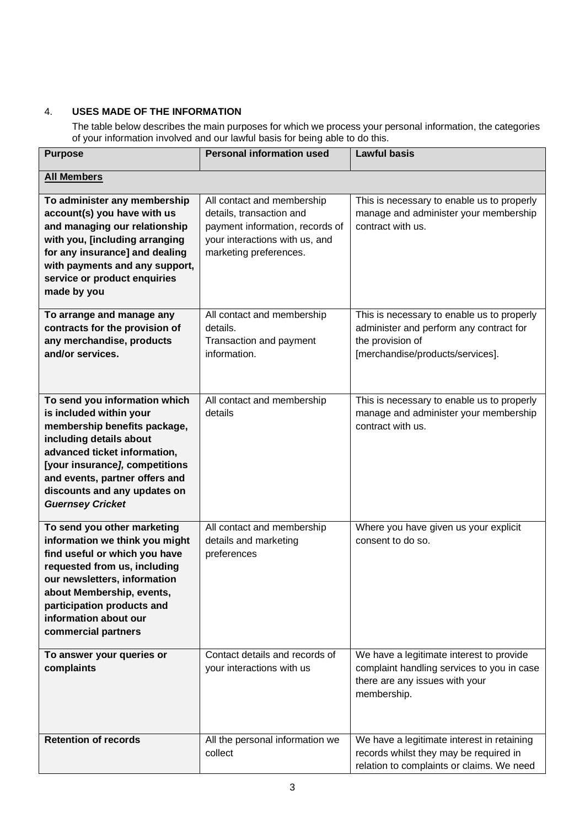## 4. **USES MADE OF THE INFORMATION**

The table below describes the main purposes for which we process your personal information, the categories of your information involved and our lawful basis for being able to do this.

| <b>Purpose</b>                                                                                                                                                                                                                                                                     | <b>Personal information used</b>                                                                                                                      | <b>Lawful basis</b>                                                                                                                           |
|------------------------------------------------------------------------------------------------------------------------------------------------------------------------------------------------------------------------------------------------------------------------------------|-------------------------------------------------------------------------------------------------------------------------------------------------------|-----------------------------------------------------------------------------------------------------------------------------------------------|
| <b>All Members</b>                                                                                                                                                                                                                                                                 |                                                                                                                                                       |                                                                                                                                               |
| To administer any membership<br>account(s) you have with us<br>and managing our relationship<br>with you, [including arranging<br>for any insurance] and dealing<br>with payments and any support,<br>service or product enquiries<br>made by you                                  | All contact and membership<br>details, transaction and<br>payment information, records of<br>your interactions with us, and<br>marketing preferences. | This is necessary to enable us to properly<br>manage and administer your membership<br>contract with us.                                      |
| To arrange and manage any<br>contracts for the provision of<br>any merchandise, products<br>and/or services.                                                                                                                                                                       | All contact and membership<br>details.<br>Transaction and payment<br>information.                                                                     | This is necessary to enable us to properly<br>administer and perform any contract for<br>the provision of<br>[merchandise/products/services]. |
| To send you information which<br>is included within your<br>membership benefits package,<br>including details about<br>advanced ticket information,<br>[your insurance], competitions<br>and events, partner offers and<br>discounts and any updates on<br><b>Guernsey Cricket</b> | All contact and membership<br>details                                                                                                                 | This is necessary to enable us to properly<br>manage and administer your membership<br>contract with us.                                      |
| To send you other marketing<br>information we think you might<br>find useful or which you have<br>requested from us, including<br>our newsletters, information<br>about Membership, events,<br>participation products and<br>information about our<br>commercial partners          | All contact and membership<br>details and marketing<br>preferences                                                                                    | Where you have given us your explicit<br>consent to do so.                                                                                    |
| To answer your queries or<br>complaints                                                                                                                                                                                                                                            | Contact details and records of<br>your interactions with us                                                                                           | We have a legitimate interest to provide<br>complaint handling services to you in case<br>there are any issues with your<br>membership.       |
| <b>Retention of records</b>                                                                                                                                                                                                                                                        | All the personal information we<br>collect                                                                                                            | We have a legitimate interest in retaining<br>records whilst they may be required in<br>relation to complaints or claims. We need             |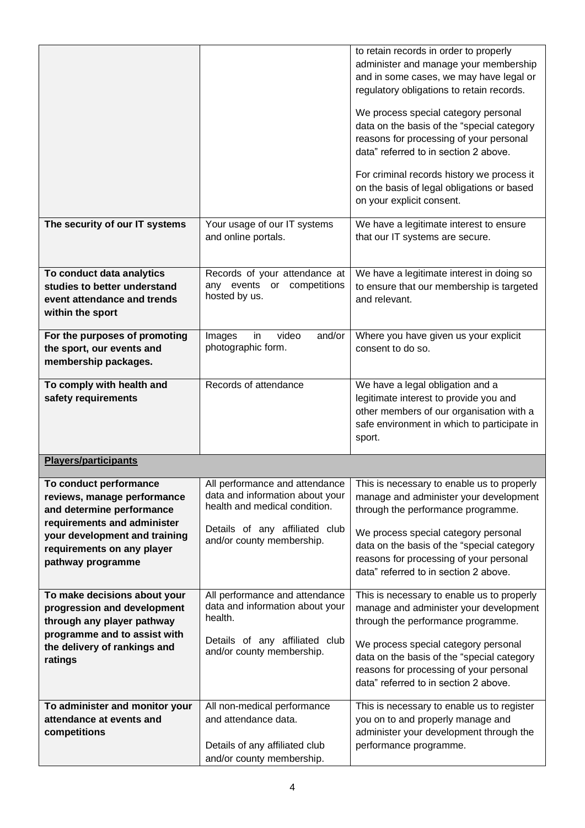|                                                                                                                                                                                                       |                                                                                                                                             | to retain records in order to properly<br>administer and manage your membership<br>and in some cases, we may have legal or<br>regulatory obligations to retain records.<br>We process special category personal<br>data on the basis of the "special category<br>reasons for processing of your personal<br>data" referred to in section 2 above.<br>For criminal records history we process it<br>on the basis of legal obligations or based<br>on your explicit consent. |
|-------------------------------------------------------------------------------------------------------------------------------------------------------------------------------------------------------|---------------------------------------------------------------------------------------------------------------------------------------------|----------------------------------------------------------------------------------------------------------------------------------------------------------------------------------------------------------------------------------------------------------------------------------------------------------------------------------------------------------------------------------------------------------------------------------------------------------------------------|
| The security of our IT systems                                                                                                                                                                        | Your usage of our IT systems<br>and online portals.                                                                                         | We have a legitimate interest to ensure<br>that our IT systems are secure.                                                                                                                                                                                                                                                                                                                                                                                                 |
| To conduct data analytics<br>studies to better understand<br>event attendance and trends<br>within the sport                                                                                          | Records of your attendance at<br>any events or competitions<br>hosted by us.                                                                | We have a legitimate interest in doing so<br>to ensure that our membership is targeted<br>and relevant.                                                                                                                                                                                                                                                                                                                                                                    |
| For the purposes of promoting<br>the sport, our events and<br>membership packages.                                                                                                                    | video<br>and/or<br>Images<br>in<br>photographic form.                                                                                       | Where you have given us your explicit<br>consent to do so.                                                                                                                                                                                                                                                                                                                                                                                                                 |
| To comply with health and<br>safety requirements                                                                                                                                                      | Records of attendance                                                                                                                       | We have a legal obligation and a<br>legitimate interest to provide you and<br>other members of our organisation with a<br>safe environment in which to participate in<br>sport.                                                                                                                                                                                                                                                                                            |
| <b>Players/participants</b>                                                                                                                                                                           |                                                                                                                                             |                                                                                                                                                                                                                                                                                                                                                                                                                                                                            |
| To conduct performance<br>reviews, manage performance<br>and determine performance<br>requirements and administer<br>your development and training<br>requirements on any player<br>pathway programme | data and information about your<br>health and medical condition.<br>Details of any affiliated club<br>and/or county membership.             | All performance and attendance   This is necessary to enable us to properly<br>manage and administer your development<br>through the performance programme.<br>We process special category personal<br>data on the basis of the "special category<br>reasons for processing of your personal<br>data" referred to in section 2 above.                                                                                                                                      |
| To make decisions about your<br>progression and development<br>through any player pathway<br>programme and to assist with<br>the delivery of rankings and<br>ratings                                  | All performance and attendance<br>data and information about your<br>health.<br>Details of any affiliated club<br>and/or county membership. | This is necessary to enable us to properly<br>manage and administer your development<br>through the performance programme.<br>We process special category personal<br>data on the basis of the "special category<br>reasons for processing of your personal<br>data" referred to in section 2 above.                                                                                                                                                                       |
| To administer and monitor your<br>attendance at events and<br>competitions                                                                                                                            | All non-medical performance<br>and attendance data.<br>Details of any affiliated club<br>and/or county membership.                          | This is necessary to enable us to register<br>you on to and properly manage and<br>administer your development through the<br>performance programme.                                                                                                                                                                                                                                                                                                                       |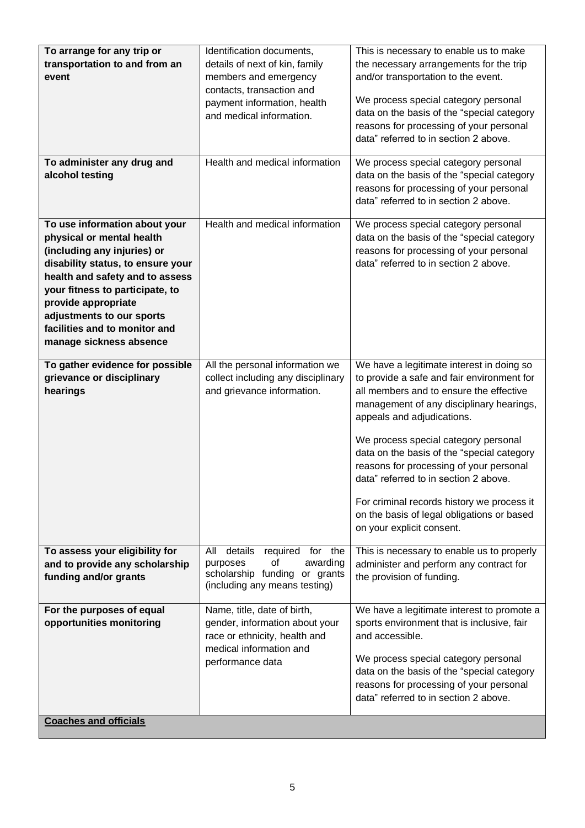| To arrange for any trip or<br>transportation to and from an<br>event<br>To administer any drug and<br>alcohol testing                                                                                                                                                                                                | Identification documents,<br>details of next of kin, family<br>members and emergency<br>contacts, transaction and<br>payment information, health<br>and medical information.<br>Health and medical information | This is necessary to enable us to make<br>the necessary arrangements for the trip<br>and/or transportation to the event.<br>We process special category personal<br>data on the basis of the "special category<br>reasons for processing of your personal<br>data" referred to in section 2 above.<br>We process special category personal<br>data on the basis of the "special category<br>reasons for processing of your personal<br>data" referred to in section 2 above.                                    |
|----------------------------------------------------------------------------------------------------------------------------------------------------------------------------------------------------------------------------------------------------------------------------------------------------------------------|----------------------------------------------------------------------------------------------------------------------------------------------------------------------------------------------------------------|-----------------------------------------------------------------------------------------------------------------------------------------------------------------------------------------------------------------------------------------------------------------------------------------------------------------------------------------------------------------------------------------------------------------------------------------------------------------------------------------------------------------|
| To use information about your<br>physical or mental health<br>(including any injuries) or<br>disability status, to ensure your<br>health and safety and to assess<br>your fitness to participate, to<br>provide appropriate<br>adjustments to our sports<br>facilities and to monitor and<br>manage sickness absence | Health and medical information                                                                                                                                                                                 | We process special category personal<br>data on the basis of the "special category<br>reasons for processing of your personal<br>data" referred to in section 2 above.                                                                                                                                                                                                                                                                                                                                          |
| To gather evidence for possible<br>grievance or disciplinary<br>hearings                                                                                                                                                                                                                                             | All the personal information we<br>collect including any disciplinary<br>and grievance information.                                                                                                            | We have a legitimate interest in doing so<br>to provide a safe and fair environment for<br>all members and to ensure the effective<br>management of any disciplinary hearings,<br>appeals and adjudications.<br>We process special category personal<br>data on the basis of the "special category<br>reasons for processing of your personal<br>data" referred to in section 2 above.<br>For criminal records history we process it<br>on the basis of legal obligations or based<br>on your explicit consent. |
| To assess your eligibility for<br>and to provide any scholarship<br>funding and/or grants                                                                                                                                                                                                                            | details<br>required for the<br>All<br>0f<br>awarding<br>purposes<br>scholarship funding or grants<br>(including any means testing)                                                                             | This is necessary to enable us to properly<br>administer and perform any contract for<br>the provision of funding.                                                                                                                                                                                                                                                                                                                                                                                              |
| For the purposes of equal<br>opportunities monitoring<br><b>Coaches and officials</b>                                                                                                                                                                                                                                | Name, title, date of birth,<br>gender, information about your<br>race or ethnicity, health and<br>medical information and<br>performance data                                                                  | We have a legitimate interest to promote a<br>sports environment that is inclusive, fair<br>and accessible.<br>We process special category personal<br>data on the basis of the "special category<br>reasons for processing of your personal<br>data" referred to in section 2 above.                                                                                                                                                                                                                           |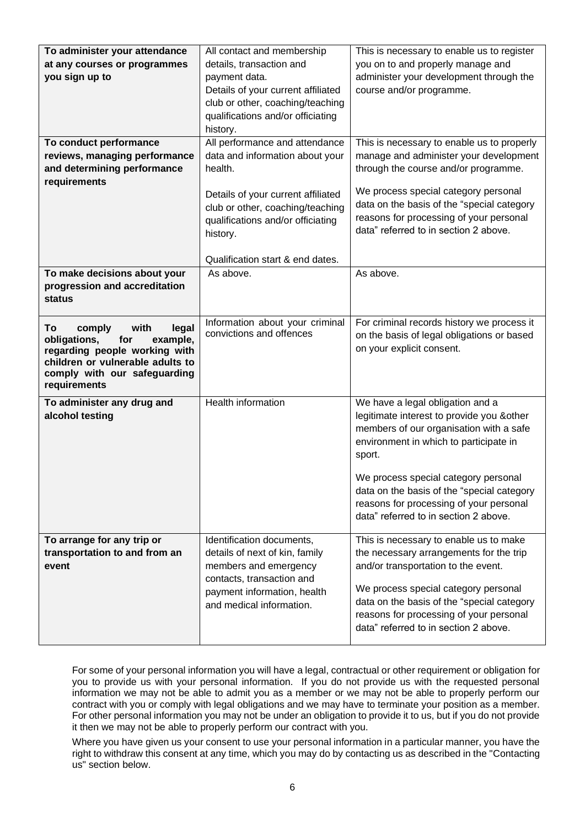| To administer your attendance                                    | All contact and membership         | This is necessary to enable us to register |
|------------------------------------------------------------------|------------------------------------|--------------------------------------------|
| at any courses or programmes                                     | details, transaction and           | you on to and properly manage and          |
| you sign up to                                                   | payment data.                      | administer your development through the    |
|                                                                  | Details of your current affiliated | course and/or programme.                   |
|                                                                  | club or other, coaching/teaching   |                                            |
|                                                                  | qualifications and/or officiating  |                                            |
|                                                                  | history.                           |                                            |
| To conduct performance                                           | All performance and attendance     | This is necessary to enable us to properly |
| reviews, managing performance                                    | data and information about your    | manage and administer your development     |
| and determining performance                                      | health.                            | through the course and/or programme.       |
| requirements                                                     |                                    |                                            |
|                                                                  | Details of your current affiliated | We process special category personal       |
|                                                                  | club or other, coaching/teaching   | data on the basis of the "special category |
|                                                                  | qualifications and/or officiating  | reasons for processing of your personal    |
|                                                                  | history.                           | data" referred to in section 2 above.      |
|                                                                  |                                    |                                            |
|                                                                  | Qualification start & end dates.   |                                            |
| To make decisions about your                                     | As above.                          | As above.                                  |
| progression and accreditation                                    |                                    |                                            |
| <b>status</b>                                                    |                                    |                                            |
|                                                                  | Information about your criminal    | For criminal records history we process it |
| with<br>To<br>comply<br>legal<br>for<br>obligations,<br>example, | convictions and offences           | on the basis of legal obligations or based |
| regarding people working with                                    |                                    | on your explicit consent.                  |
| children or vulnerable adults to                                 |                                    |                                            |
|                                                                  |                                    |                                            |
| comply with our safeguarding                                     |                                    |                                            |
| requirements                                                     |                                    |                                            |
| To administer any drug and                                       | Health information                 | We have a legal obligation and a           |
| alcohol testing                                                  |                                    | legitimate interest to provide you & other |
|                                                                  |                                    | members of our organisation with a safe    |
|                                                                  |                                    | environment in which to participate in     |
|                                                                  |                                    | sport.                                     |
|                                                                  |                                    |                                            |
|                                                                  |                                    | We process special category personal       |
|                                                                  |                                    | data on the basis of the "special category |
|                                                                  |                                    | reasons for processing of your personal    |
|                                                                  |                                    | data" referred to in section 2 above.      |
|                                                                  | Identification documents,          | This is necessary to enable us to make     |
| To arrange for any trip or<br>transportation to and from an      | details of next of kin, family     | the necessary arrangements for the trip    |
| event                                                            | members and emergency              | and/or transportation to the event.        |
|                                                                  | contacts, transaction and          |                                            |
|                                                                  | payment information, health        | We process special category personal       |
|                                                                  | and medical information.           | data on the basis of the "special category |
|                                                                  |                                    | reasons for processing of your personal    |
|                                                                  |                                    | data" referred to in section 2 above.      |

For some of your personal information you will have a legal, contractual or other requirement or obligation for you to provide us with your personal information. If you do not provide us with the requested personal information we may not be able to admit you as a member or we may not be able to properly perform our contract with you or comply with legal obligations and we may have to terminate your position as a member. For other personal information you may not be under an obligation to provide it to us, but if you do not provide it then we may not be able to properly perform our contract with you.

Where you have given us your consent to use your personal information in a particular manner, you have the right to withdraw this consent at any time, which you may do by contacting us as described in the "Contacting us" section below.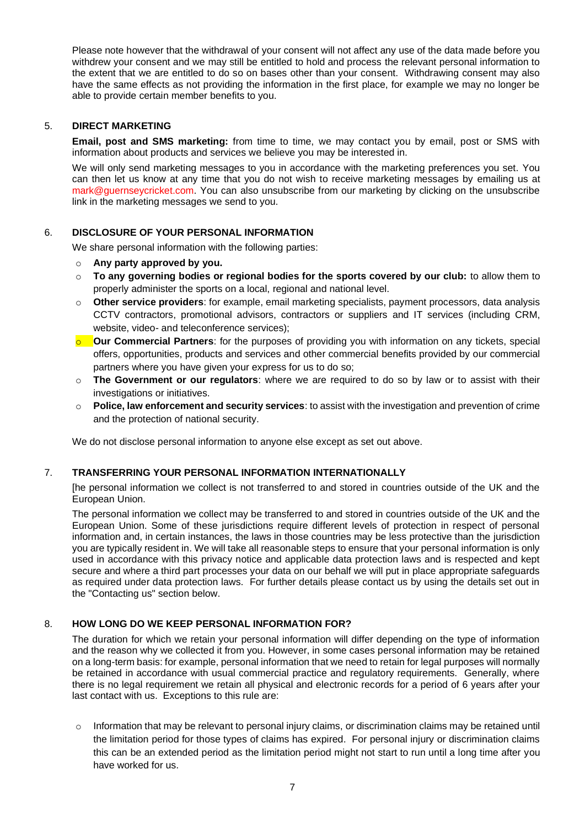Please note however that the withdrawal of your consent will not affect any use of the data made before you withdrew your consent and we may still be entitled to hold and process the relevant personal information to the extent that we are entitled to do so on bases other than your consent. Withdrawing consent may also have the same effects as not providing the information in the first place, for example we may no longer be able to provide certain member benefits to you.

### 5. **DIRECT MARKETING**

**Email, post and SMS marketing:** from time to time, we may contact you by email, post or SMS with information about products and services we believe you may be interested in.

We will only send marketing messages to you in accordance with the marketing preferences you set. You can then let us know at any time that you do not wish to receive marketing messages by emailing us at mark@guernseycricket.com. You can also unsubscribe from our marketing by clicking on the unsubscribe link in the marketing messages we send to you.

## 6. **DISCLOSURE OF YOUR PERSONAL INFORMATION**

We share personal information with the following parties:

- o **Any party approved by you.**
- o **To any governing bodies or regional bodies for the sports covered by our club:** to allow them to properly administer the sports on a local, regional and national level.
- o **Other service providers**: for example, email marketing specialists, payment processors, data analysis CCTV contractors, promotional advisors, contractors or suppliers and IT services (including CRM, website, video- and teleconference services);
- **O** Our Commercial Partners: for the purposes of providing you with information on any tickets, special offers, opportunities, products and services and other commercial benefits provided by our commercial partners where you have given your express for us to do so;
- o **The Government or our regulators**: where we are required to do so by law or to assist with their investigations or initiatives.
- o **Police, law enforcement and security services**: to assist with the investigation and prevention of crime and the protection of national security.

We do not disclose personal information to anyone else except as set out above.

#### 7. **TRANSFERRING YOUR PERSONAL INFORMATION INTERNATIONALLY**

[he personal information we collect is not transferred to and stored in countries outside of the UK and the European Union.

The personal information we collect may be transferred to and stored in countries outside of the UK and the European Union. Some of these jurisdictions require different levels of protection in respect of personal information and, in certain instances, the laws in those countries may be less protective than the jurisdiction you are typically resident in. We will take all reasonable steps to ensure that your personal information is only used in accordance with this privacy notice and applicable data protection laws and is respected and kept secure and where a third part processes your data on our behalf we will put in place appropriate safeguards as required under data protection laws. For further details please contact us by using the details set out in the "Contacting us" section below.

#### 8. **HOW LONG DO WE KEEP PERSONAL INFORMATION FOR?**

The duration for which we retain your personal information will differ depending on the type of information and the reason why we collected it from you. However, in some cases personal information may be retained on a long-term basis: for example, personal information that we need to retain for legal purposes will normally be retained in accordance with usual commercial practice and regulatory requirements. Generally, where there is no legal requirement we retain all physical and electronic records for a period of 6 years after your last contact with us. Exceptions to this rule are:

 $\circ$  Information that may be relevant to personal injury claims, or discrimination claims may be retained until the limitation period for those types of claims has expired. For personal injury or discrimination claims this can be an extended period as the limitation period might not start to run until a long time after you have worked for us.